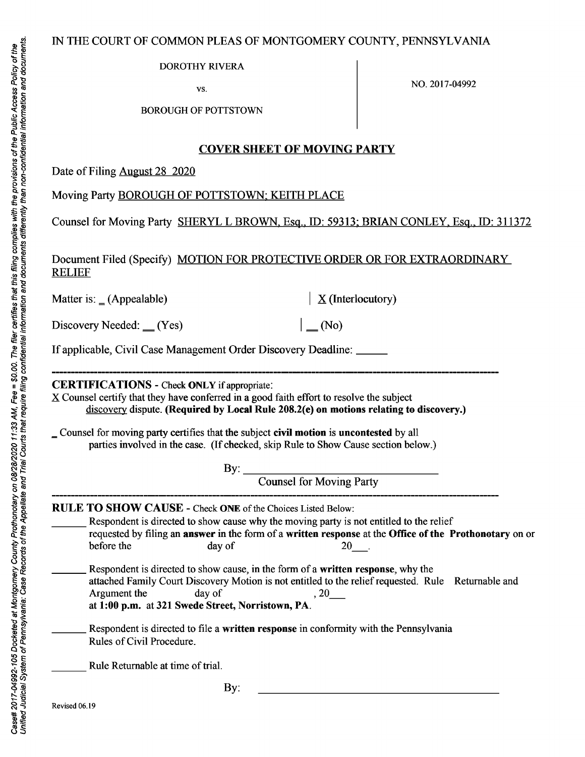# IN THE COURT OF COMMON PLEAS OF MONTGOMERY COUNTY, PENNSYLVANIA

DOROTHY RIVERA

vs. NO. 2017-04992

BOROUGH OF POTTSTOWN

## **COVER SHEET OF MOVING PARTY**

Date of Filing August 28 2020

Moving Party BOROUGH OF POTTSTOWN; KEITH PLACE

Counsel for Moving Party SHERYLL BROWN, Esq., ID: 59313: BRIAN CONLEY, Esq., ID: 311372

Document Filed (Specify) MOTION FOR PROTECTIVE ORDER OR FOR EXTRAORDINARY **RELIEF** 

Matter is:  $(Appendable)$ 

 $\underline{X}$  (Interlocutory)

 $(No)$ 

Discovery Needed:  $(Yes)$ 

If applicable, Civil Case Management Order Discovery Deadline: \_\_\_\_\_

**CERTIFICATIONS** - Check **ONLY** if appropriate:

 $X$  Counsel certify that they have conferred in a good faith effort to resolve the subject discovery dispute. **(Required by Local Rule 208.2(e) on motions relating to discovery.)** 

= Counsel for moving party certifies that the subject **civil motion** is **uncontested** by all parties involved in the case. (If checked, skip Rule to Show Cause section below.)

By:  $\overline{\phantom{a}}$ 

Counsel for Moving Party

**RULE TO SHOW CAUSE** - Check **ONE** of the Choices Listed Below:

Respondent is directed to show cause why the moving party is not entitled to the relief requested by filing an **answer** in the form of a **written response** at the **Office of the Prothonotary** on or before the day of 20

\_\_\_ Respondent is directed to show cause, in the form of a **written response,** why the attached Family Court Discovery Motion is not entitled to the relief requested. Rule Returnable and Argument the day of , 20 at **1:00 p.m.** at **321 Swede Street, Norristown, PA.** 

\_\_\_ Respondent is directed to file a **written response** in conformity with the Pennsylvania Rules of Civil Procedure.

Rule Returnable at time of trial.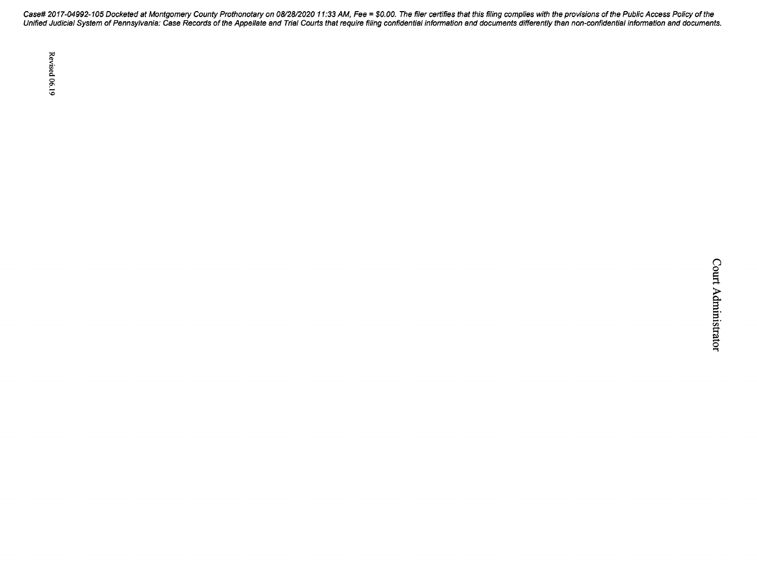Case# 2017-04992-105 Docketed at Montgomery County Prothonotary on 08/28/2020 11 :33 AM, Fee = \$0. 00. The filer certifies that this filing complies with the provisions of the Public Access Policy of the Unified Judicial System of Pennsylvania: Case Records of the Appellate and Trial Courts that require filing confidential information and documents differently than non-confidential information and documents.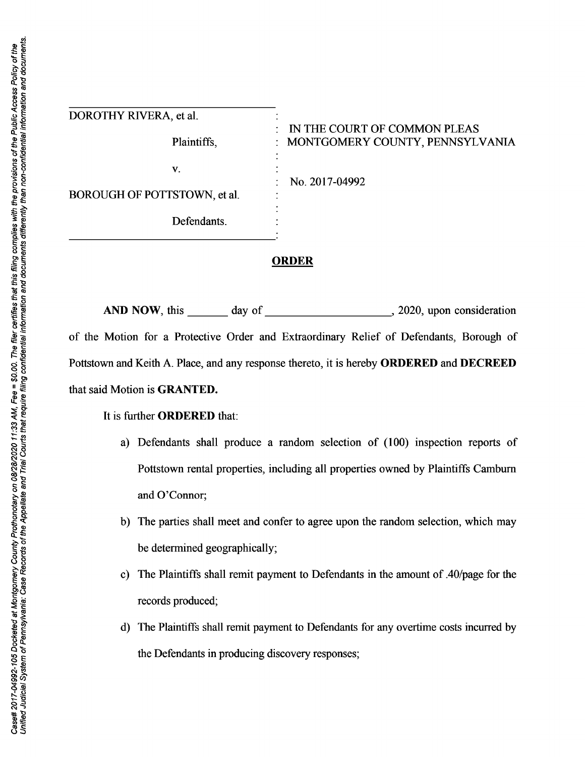| DOROTHY RIVERA, et al.       |                                                                        |
|------------------------------|------------------------------------------------------------------------|
| Plaintiffs,                  | IN THE COURT OF COMMON PLEAS<br>٠<br>: MONTGOMERY COUNTY, PENNSYLVANIA |
| $\mathbf{V}$ .               | No. 2017-04992<br>٠<br>٠                                               |
| BOROUGH OF POTTSTOWN, et al. |                                                                        |
| Defendants.                  |                                                                        |

#### **ORDER**

**AND NOW,** this \_\_\_ day of \_\_\_\_\_\_\_\_\_ \_., 2020, upon consideration of the Motion for a Protective Order and Extraordinary Relief of Defendants, Borough of Pottstown and Keith A. Place, and any response thereto, it is hereby **ORDERED** and **DECREED**  that said Motion is **GRANTED.** 

It is further **ORDERED** that:

- a) Defendants shall produce a random selection of (100) inspection reports of Pottstown rental properties, including all properties owned by Plaintiffs Camburn and O'Connor;
- b) The parties shall meet and confer to agree upon the random selection, which may be determined geographically;
- c) The Plaintiffs shall remit payment to Defendants in the amount of .40/page for the records produced;
- d) The Plaintiffs shall remit payment to Defendants for any overtime costs incurred by the Defendants in producing discovery responses;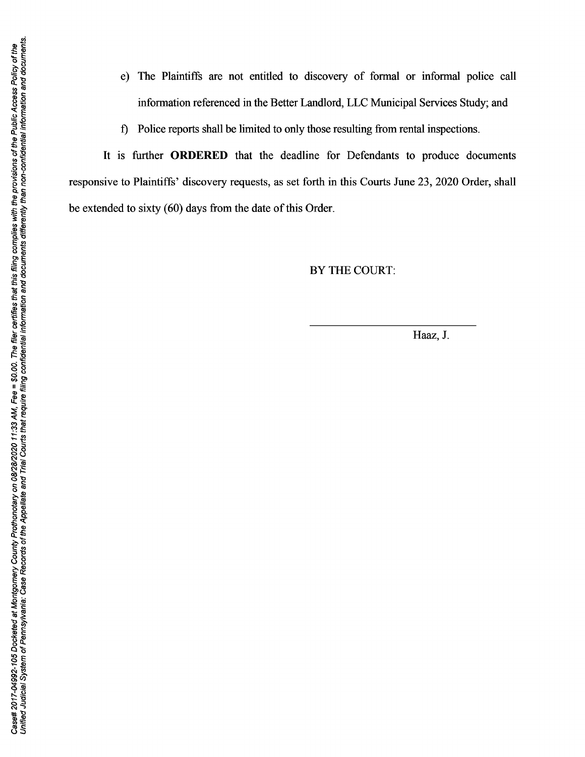Unified Judicial System of Pennsylvania: Case Records of the Appellate and Trial Courts that require filing confidential information and documents differently than non-confidential information and documents. Case# 2017-04992-105 Docketed at Montgomery County Prothonotary on 08/28/2020 11:33 AM, Fee = \$0.00. The filer centifies that this filing complies with the provisions of the Public Access Policy of the

- e) The Plaintiffs are not entitled to discovery of formal or informal police call information referenced in the Better Landlord, LLC Municipal Services Study; and
- f) Police reports shall be limited to only those resulting from rental inspections.

It is further **ORDERED** that the deadline for Defendants to produce documents responsive to Plaintiffs' discovery requests, as set forth in this Courts June 23, 2020 Order, shall be extended to sixty (60) days from the date of this Order.

# BY THE COURT:

Haaz, J.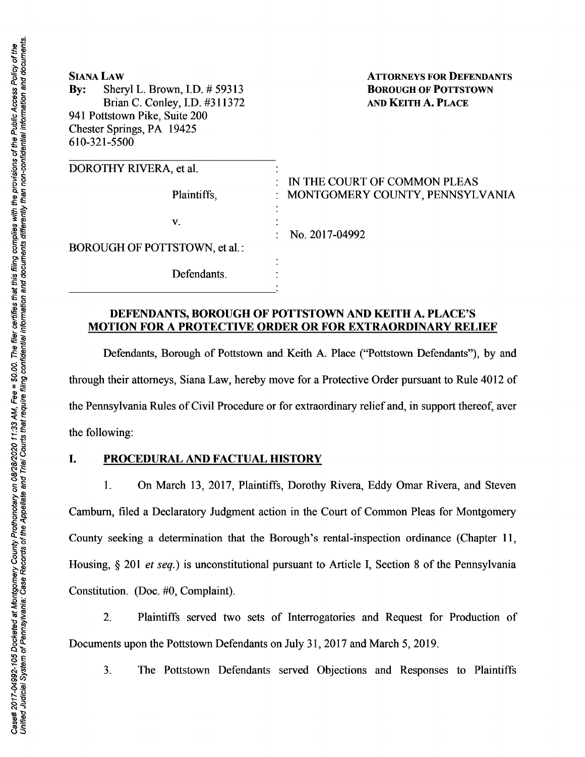| <b>SIANA LAW</b><br>Sheryl L. Brown, I.D. # 59313<br>$\mathbf{By:}$<br>Brian C. Conley, I.D. #311372<br>941 Pottstown Pike, Suite 200<br>Chester Springs, PA 19425<br>610-321-5500 | <b>ATTORNEYS FOR DEFENDANTS</b><br><b>BOROUGH OF POTTSTOWN</b><br><b>AND KEITH A. PLACE</b> |
|------------------------------------------------------------------------------------------------------------------------------------------------------------------------------------|---------------------------------------------------------------------------------------------|
| DOROTHY RIVERA, et al.                                                                                                                                                             | $\therefore$ IN THE COURT OF COMMON PLEAS                                                   |
| Plaintiffs,                                                                                                                                                                        | MONTGOMERY COUNTY, PENNSYLVANIA                                                             |
| V.                                                                                                                                                                                 |                                                                                             |
| BOROUGH OF POTTSTOWN, et al.:                                                                                                                                                      | No. 2017-04992                                                                              |
| Defendants.                                                                                                                                                                        |                                                                                             |

### **DEFENDANTS, BOROUGH OF POTTSTOWN AND KEITH A. PLACE'S MOTION FOR A PROTECTIVE ORDER OR FOR EXTRAORDINARY RELIEF**

Defendants, Borough of Pottstown and Keith A. Place ("Pottstown Defendants"), by and through their attorneys, Siana Law, hereby move for a Protective Order pursuant to Rule 4012 of the Pennsylvania Rules of Civil Procedure or for extraordinary relief and, in support thereof, aver the following:

### I. **PROCEDURAL AND FACTUAL HISTORY**

1. On March 13, 2017, Plaintiffs, Dorothy Rivera, Eddy Omar Rivera, and Steven Camburn, filed a Declaratory Judgment action in the Court of Common Pleas for Montgomery County seeking a determination that the Borough's rental-inspection ordinance (Chapter 11, Housing, § 201 *et seq.*) is unconstitutional pursuant to Article I, Section 8 of the Pennsylvania Constitution. (Doc. #0, Complaint).

2. Plaintiffs served two sets of Interrogatories and Request for Production of Documents upon the Pottstown Defendants on July 31, 2017 and March 5, 2019.

3. The Pottstown Defendants served Objections and Responses to Plaintiffs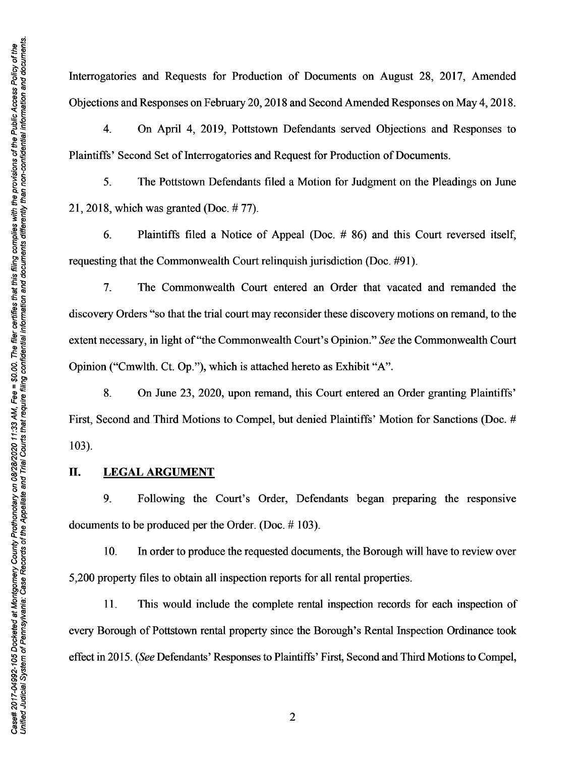Interrogatories and Requests for Production of Documents on August 28, 2017, Amended Objections and Responses on February 20, 2018 and Second Amended Responses on May 4, 2018.

4. On April 4, 2019, Pottstown Defendants served Objections and Responses to Plaintiffs' Second Set of Interrogatories and Request for Production of Documents.

5. The Pottstown Defendants filed a Motion for Judgment on the Pleadings on June 21, 2018, which was granted (Doc. # 77).

6. Plaintiffs filed a Notice of Appeal (Doc. # 86) and this Court reversed itself, requesting that the Commonwealth Court relinquish jurisdiction (Doc. #91 ).

7. The Commonwealth Court entered an Order that vacated and remanded the discovery Orders "so that the trial court may reconsider these discovery motions on remand, to the extent necessary, in light of"the Commonwealth Court's Opinion." *See* the Commonwealth Court Opinion ("Cmwlth. Ct. Op."), which is attached hereto as Exhibit "A".

8. On June 23, 2020, upon remand, this Court entered an Order granting Plaintiffs' First, Second and Third Motions to Compel, but denied Plaintiffs' Motion for Sanctions (Doc. # 103).

#### **II.** LEGAL ARGUMENT

9. Following the Court's Order, Defendants began preparing the responsive documents to be produced per the Order. (Doc.# 103).

10. In order to produce the requested documents, the Borough will have to review over 5,200 property files to obtain all inspection reports for all rental properties.

**11.** This would include the complete rental inspection records for each inspection of every Borough of Pottstown rental property since the Borough's Rental Inspection Ordinance took effect in 2015. *(See* Defendants' Responses to Plaintiffs' First, Second and Third Motions to Compel,

2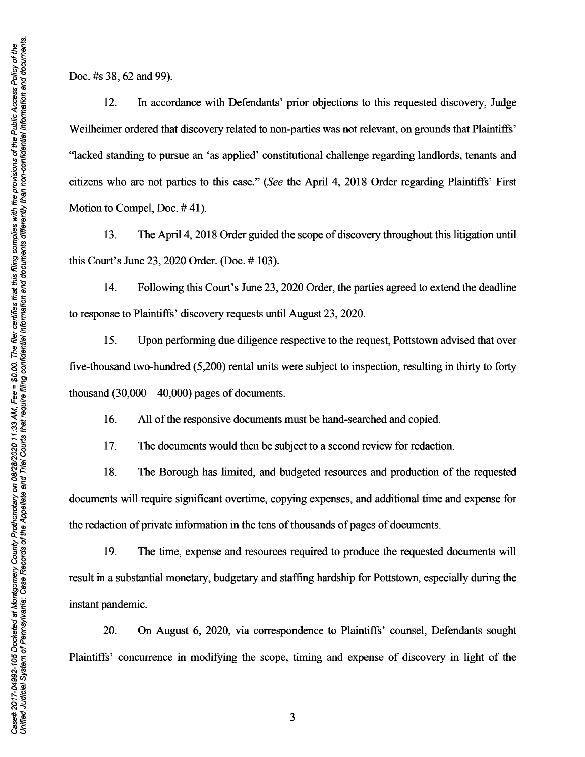Unified Judicial System of Pennsylvania: Case Records of the Appellate and Trial Courts that require filing confidential information and documents differently than non-confidential information and documents Case# 2017-04992-105 Docketed at Montgomery County Prothonotary on 08/28/2020 11:33 AM, Fee = \$0.00. The filer certifies that this filing complies with the provisions of the Public Access Policy of the

Doc. #s 38, 62 and 99).

12. In accordance with Defendants' prior objections to this requested discovery, Judge Weilheimer ordered that discovery related to non-parties was not relevant, on grounds that Plaintiffs' "lacked standing to pursue an 'as applied' constitutional challenge regarding landlords, tenants and citizens who are not parties to this case." *(See* the April 4, 2018 Order regarding Plaintiffs' First Motion to Compel, Doc. #41).

13. The April 4, 2018 Order guided the scope of discovery throughout this litigation until this Court's June 23, 2020 Order. (Doc.# 103).

14. Following this Court's June 23, 2020 Order, the parties agreed to extend the deadline to response to Plaintiffs' discovery requests until August 23, 2020.

15. Upon performing due diligence respective to the request, Pottstown advised that over five-thousand two-hundred (5,200) rental units were subject to inspection, resulting in thirty to forty thousand  $(30,000 - 40,000)$  pages of documents.

16. All of the responsive documents must be hand-searched and copied.

17. The documents would then be subject to a second review for redaction.

18. The Borough has limited, and budgeted resources and production of the requested documents will require significant overtime, copying expenses, and additional time and expense for the redaction of private information in the tens of thousands of pages of documents.

19. The time, expense and resources required to produce the requested documents will result in a substantial monetary, budgetary and staffing hardship for Pottstown, especially during the instant pandemic.

20. On August 6, 2020, via correspondence to Plaintiffs' counsel, Defendants sought Plaintiffs' concurrence in modifying the scope, timing and expense of discovery in light of the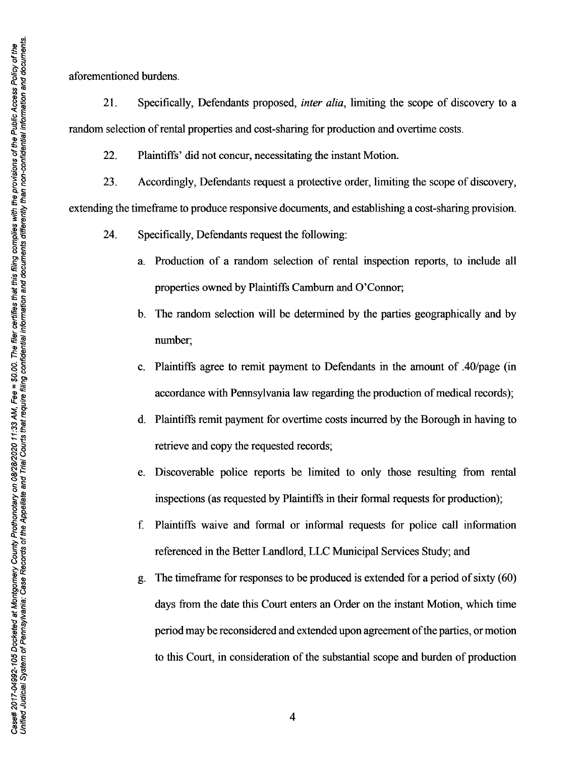aforementioned burdens.

21. Specifically, Defendants proposed, *inter alia,* limiting the scope of discovery to a random selection of rental properties and cost-sharing for production and overtime costs.

22. Plaintiffs' did not concur, necessitating the instant Motion.

23. Accordingly, Defendants request a protective order, limiting the scope of discovery, extending the timeframe to produce responsive documents, and establishing a cost-sharing provision.

- 24. Specifically, Defendants request the following:
	- a. Production of a random selection of rental inspection reports, to include all properties owned by Plaintiffs Camburn and O'Connor;
	- b. The random selection will be determined by the parties geographically and by number;
	- c. Plaintiffs agree to remit payment to Defendants in the amount of .40/page (in accordance with Pennsylvania law regarding the production of medical records);
	- d. Plaintiffs remit payment for overtime costs incurred by the Borough in having to retrieve and copy the requested records;
	- e. Discoverable police reports be limited to only those resulting from rental inspections (as requested by Plaintiffs in their formal requests for production);
	- f. Plaintiffs waive and formal or informal requests for police call information referenced in the Better Landlord, LLC Municipal Services Study; and
	- g. The timeframe for responses to be produced is extended for a period of sixty ( 60) days from the date this Court enters an Order on the instant Motion, which time period may be reconsidered and extended upon agreement of the parties, or motion to this Court, in consideration of the substantial scope and burden of production